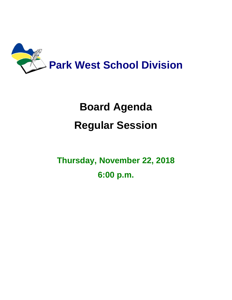

# **Board Agenda Regular Session**

**Thursday, November 22, 2018 6:00 p.m.**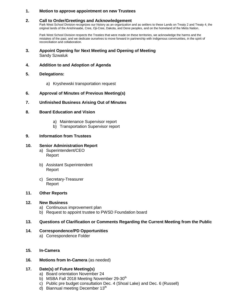## **1. Motion to approve appointment on new Trustees**

### **2. Call to Order/Greetings and Acknowledgement**

Park West School Division recognizes our history as an organization and as settlers to these Lands on Treaty 2 and Treaty 4, the original lands of the Anishinaabe, Cree, Oji-Cree, Dakota, and Dene peoples, and on the homeland of the Metis Nation.

Park West School Division respects the Treaties that were made on these territories, we acknowledge the harms and the mistakes of the past, and we dedicate ourselves to move forward in partnership with Indigenous communities, in the spirit of reconciliation and collaboration.

- **3. Appoint Opening for Next Meeting and Opening of Meeting** Sandy Szwaluk
- **4. Addition to and Adoption of Agenda**
- **5. Delegations:**
	- a) Kryshewski transportation request

### **6. Approval of Minutes of Previous Meeting(s)**

**7. Unfinished Business Arising Out of Minutes**

#### **8. Board Education and Vision**

- a) Maintenance Supervisor report
- b) Transportation Supervisor report

#### **9. Information from Trustees**

#### **10. Senior Administration Report**

- a) Superintendent/CEO Report
- b) Assistant Superintendent Report
- c) Secretary-Treasurer Report

#### **11. Other Reports**

#### **12. New Business**

- a) Continuous improvement plan
- b) Request to appoint trustee to PWSD Foundation board

### **13. Questions of Clarification or Comments Regarding the Current Meeting from the Public**

- **14. Correspondence/PD Opportunities**
	- a) Correspondence Folder
- **15. In-Camera**
- **16. Motions from In-Camera** (as needed)

### **17. Date(s) of Future Meeting(s)**

- a) Board orientation November 24
- b) MSBA Fall 2018 Meeting November 29-30<sup>th</sup>
- c) Public pre budget consultation Dec. 4 (Shoal Lake) and Dec. 6 (Russell)
- d) Biannual meeting December  $13<sup>th</sup>$